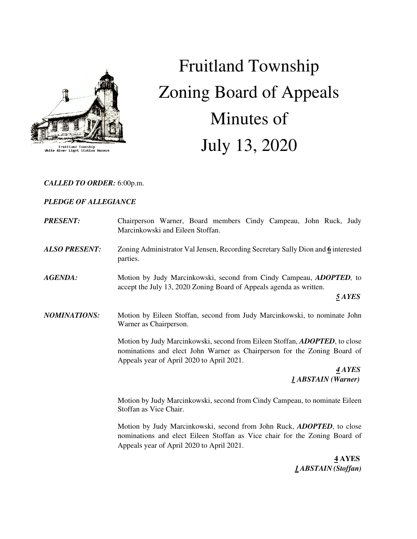

Fruitland Township<br>White River Light Station Museu

# Fruitland Township Zoning Board of Appeals Minutes of July 13, 2020

## *CALLED TO ORDER:* 6:00p.m.

# *PLEDGE OF ALLEGIANCE*

| <b>PRESENT:</b>      | Chairperson Warner, Board members Cindy Campeau, John Ruck, Judy<br>Marcinkowski and Eileen Stoffan.                                                                                                |
|----------------------|-----------------------------------------------------------------------------------------------------------------------------------------------------------------------------------------------------|
| <b>ALSO PRESENT:</b> | Zoning Administrator Val Jensen, Recording Secretary Sally Dion and 6 interested<br>parties.                                                                                                        |
| <b>AGENDA:</b>       | Motion by Judy Marcinkowski, second from Cindy Campeau, <i>ADOPTED</i> , to<br>accept the July 13, 2020 Zoning Board of Appeals agenda as written.<br>5 AYES                                        |
| <b>NOMINATIONS:</b>  | Motion by Eileen Stoffan, second from Judy Marcinkowski, to nominate John<br>Warner as Chairperson.                                                                                                 |
|                      | Motion by Judy Marcinkowski, second from Eileen Stoffan, ADOPTED, to close<br>nominations and elect John Warner as Chairperson for the Zoning Board of<br>Appeals year of April 2020 to April 2021. |
|                      | 4 AYES<br><i><b>I ABSTAIN</b></i> (Warner)                                                                                                                                                          |
|                      | Motion by Judy Marcinkowski, second from Cindy Campeau, to nominate Eileen<br>Stoffan as Vice Chair.                                                                                                |
|                      | Motion by Judy Marcinkowski, second from John Ruck, <i>ADOPTED</i> , to close<br>nominations and elect Eileen Stoffan as Vice chair for the Zoning Board of                                         |

Appeals year of April 2020 to April 2021.

 **4 AYES**   *1 ABSTAIN (Stoffan)*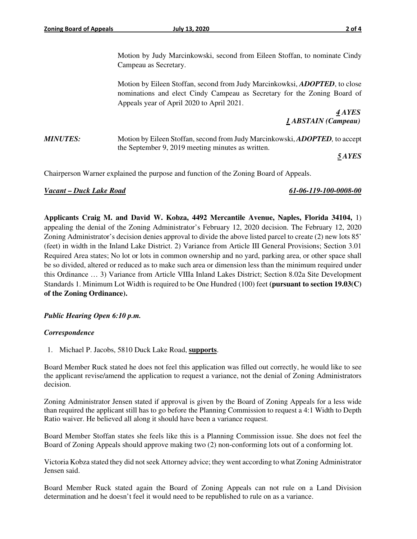Motion by Judy Marcinkowski, second from Eileen Stoffan, to nominate Cindy Campeau as Secretary.

 Motion by Eileen Stoffan, second from Judy Marcinkowksi, *ADOPTED*, to close nominations and elect Cindy Campeau as Secretary for the Zoning Board of Appeals year of April 2020 to April 2021.

 *4 AYES 1 ABSTAIN (Campeau)* 

*MINUTES:* Motion by Eileen Stoffan, second from Judy Marcinkowski, *ADOPTED*, to accept the September 9, 2019 meeting minutes as written.

*5 AYES* 

Chairperson Warner explained the purpose and function of the Zoning Board of Appeals.

#### *Vacant – Duck Lake Road 61-06-119-100-0008-00*

**Applicants Craig M. and David W. Kobza, 4492 Mercantile Avenue, Naples, Florida 34104,** 1)

appealing the denial of the Zoning Administrator's February 12, 2020 decision. The February 12, 2020 Zoning Administrator's decision denies approval to divide the above listed parcel to create (2) new lots 85' (feet) in width in the Inland Lake District. 2) Variance from Article III General Provisions; Section 3.01 Required Area states; No lot or lots in common ownership and no yard, parking area, or other space shall be so divided, altered or reduced as to make such area or dimension less than the minimum required under this Ordinance … 3) Variance from Article VIIIa Inland Lakes District; Section 8.02a Site Development Standards 1. Minimum Lot Width is required to be One Hundred (100) feet **(pursuant to section 19.03(C) of the Zoning Ordinance).** 

## *Public Hearing Open 6:10 p.m.*

#### *Correspondence*

1. Michael P. Jacobs, 5810 Duck Lake Road, **supports**.

Board Member Ruck stated he does not feel this application was filled out correctly, he would like to see the applicant revise/amend the application to request a variance, not the denial of Zoning Administrators decision.

Zoning Administrator Jensen stated if approval is given by the Board of Zoning Appeals for a less wide than required the applicant still has to go before the Planning Commission to request a 4:1 Width to Depth Ratio waiver. He believed all along it should have been a variance request.

Board Member Stoffan states she feels like this is a Planning Commission issue. She does not feel the Board of Zoning Appeals should approve making two (2) non-conforming lots out of a conforming lot.

Victoria Kobza stated they did not seek Attorney advice; they went according to what Zoning Administrator Jensen said.

Board Member Ruck stated again the Board of Zoning Appeals can not rule on a Land Division determination and he doesn't feel it would need to be republished to rule on as a variance.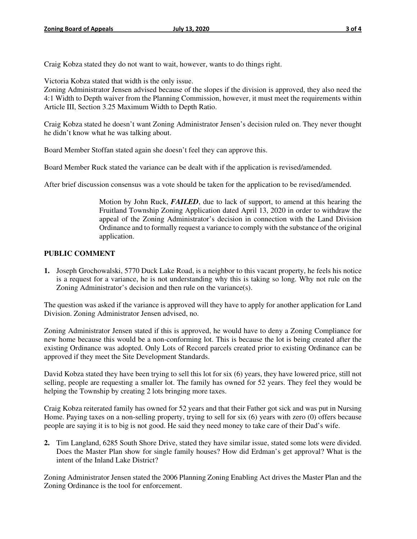Craig Kobza stated they do not want to wait, however, wants to do things right.

Victoria Kobza stated that width is the only issue.

Zoning Administrator Jensen advised because of the slopes if the division is approved, they also need the 4:1 Width to Depth waiver from the Planning Commission, however, it must meet the requirements within Article III, Section 3.25 Maximum Width to Depth Ratio.

Craig Kobza stated he doesn't want Zoning Administrator Jensen's decision ruled on. They never thought he didn't know what he was talking about.

Board Member Stoffan stated again she doesn't feel they can approve this.

Board Member Ruck stated the variance can be dealt with if the application is revised/amended.

After brief discussion consensus was a vote should be taken for the application to be revised/amended.

Motion by John Ruck, *FAILED*, due to lack of support, to amend at this hearing the Fruitland Township Zoning Application dated April 13, 2020 in order to withdraw the appeal of the Zoning Administrator's decision in connection with the Land Division Ordinance and to formally request a variance to comply with the substance of the original application.

## **PUBLIC COMMENT**

**1.** Joseph Grochowalski, 5770 Duck Lake Road, is a neighbor to this vacant property, he feels his notice is a request for a variance, he is not understanding why this is taking so long. Why not rule on the Zoning Administrator's decision and then rule on the variance(s).

The question was asked if the variance is approved will they have to apply for another application for Land Division. Zoning Administrator Jensen advised, no.

Zoning Administrator Jensen stated if this is approved, he would have to deny a Zoning Compliance for new home because this would be a non-conforming lot. This is because the lot is being created after the existing Ordinance was adopted. Only Lots of Record parcels created prior to existing Ordinance can be approved if they meet the Site Development Standards.

David Kobza stated they have been trying to sell this lot for six (6) years, they have lowered price, still not selling, people are requesting a smaller lot. The family has owned for 52 years. They feel they would be helping the Township by creating 2 lots bringing more taxes.

Craig Kobza reiterated family has owned for 52 years and that their Father got sick and was put in Nursing Home. Paying taxes on a non-selling property, trying to sell for six (6) years with zero (0) offers because people are saying it is to big is not good. He said they need money to take care of their Dad's wife.

**2.** Tim Langland, 6285 South Shore Drive, stated they have similar issue, stated some lots were divided. Does the Master Plan show for single family houses? How did Erdman's get approval? What is the intent of the Inland Lake District?

Zoning Administrator Jensen stated the 2006 Planning Zoning Enabling Act drives the Master Plan and the Zoning Ordinance is the tool for enforcement.